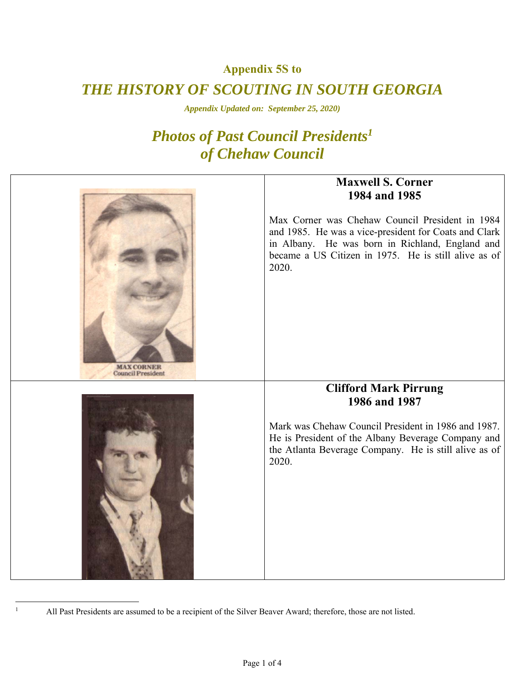**Appendix 5S to** 

## *THE HISTORY OF SCOUTING IN SOUTH GEORGIA*

*Appendix Updated on: September 25, 2020)* 

## *Photos of Past Council Presidents1 of Chehaw Council*



All Past Presidents are assumed to be a recipient of the Silver Beaver Award; therefore, those are not listed.

 $\overline{a}$ 1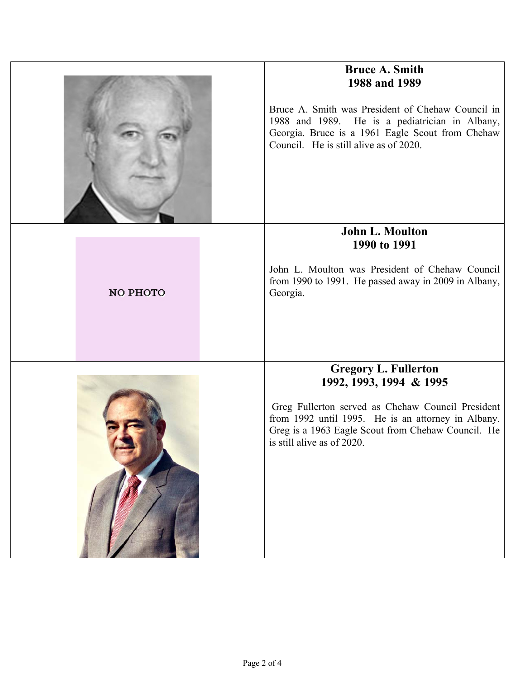|          | <b>Bruce A. Smith</b><br>1988 and 1989<br>Bruce A. Smith was President of Chehaw Council in<br>1988 and 1989. He is a pediatrician in Albany,<br>Georgia. Bruce is a 1961 Eagle Scout from Chehaw<br>Council. He is still alive as of 2020.           |
|----------|-------------------------------------------------------------------------------------------------------------------------------------------------------------------------------------------------------------------------------------------------------|
| NO PHOTO | John L. Moulton<br>1990 to 1991<br>John L. Moulton was President of Chehaw Council<br>from 1990 to 1991. He passed away in 2009 in Albany,<br>Georgia.                                                                                                |
|          | <b>Gregory L. Fullerton</b><br>1992, 1993, 1994 & 1995<br>Greg Fullerton served as Chehaw Council President<br>from 1992 until 1995. He is an attorney in Albany.<br>Greg is a 1963 Eagle Scout from Chehaw Council. He<br>is still alive as of 2020. |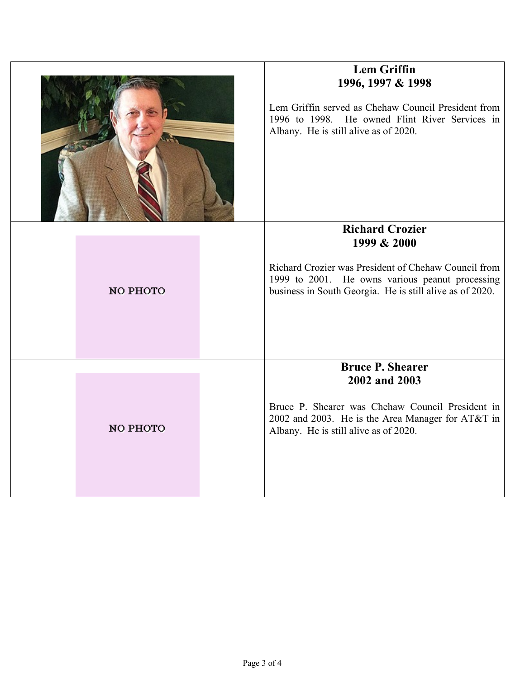|  |          | <b>Lem Griffin</b><br>1996, 1997 & 1998<br>Lem Griffin served as Chehaw Council President from<br>1996 to 1998. He owned Flint River Services in<br>Albany. He is still alive as of 2020.<br><b>Richard Crozier</b> |
|--|----------|---------------------------------------------------------------------------------------------------------------------------------------------------------------------------------------------------------------------|
|  | NO PHOTO | 1999 & 2000<br>Richard Crozier was President of Chehaw Council from<br>1999 to 2001. He owns various peanut processing<br>business in South Georgia. He is still alive as of 2020.                                  |
|  | NO PHOTO | <b>Bruce P. Shearer</b><br>2002 and 2003<br>Bruce P. Shearer was Chehaw Council President in<br>2002 and 2003. He is the Area Manager for AT&T in<br>Albany. He is still alive as of 2020.                          |